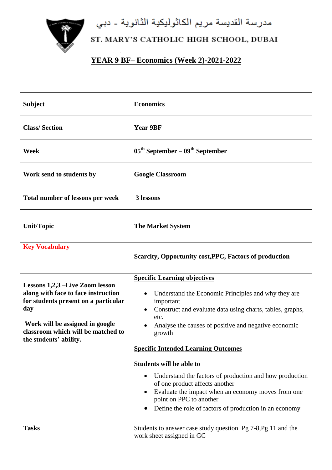مدرسة القديسة مريم الكاثوليكية الثانوية - دبي



## ST. MARY'S CATHOLIC HIGH SCHOOL, DUBAI

## **YEAR 9 BF– Economics (Week 2)-2021-2022**

| <b>Subject</b>                                                                                                                                                                                                           | <b>Economics</b>                                                                                                                                                                                                                                                                                                                                                                                                                                                                                                                                                        |
|--------------------------------------------------------------------------------------------------------------------------------------------------------------------------------------------------------------------------|-------------------------------------------------------------------------------------------------------------------------------------------------------------------------------------------------------------------------------------------------------------------------------------------------------------------------------------------------------------------------------------------------------------------------------------------------------------------------------------------------------------------------------------------------------------------------|
| <b>Class/Section</b>                                                                                                                                                                                                     | <b>Year 9BF</b>                                                                                                                                                                                                                                                                                                                                                                                                                                                                                                                                                         |
| Week                                                                                                                                                                                                                     | $05th$ September – $09th$ September                                                                                                                                                                                                                                                                                                                                                                                                                                                                                                                                     |
| Work send to students by                                                                                                                                                                                                 | <b>Google Classroom</b>                                                                                                                                                                                                                                                                                                                                                                                                                                                                                                                                                 |
| Total number of lessons per week                                                                                                                                                                                         | 3 lessons                                                                                                                                                                                                                                                                                                                                                                                                                                                                                                                                                               |
| <b>Unit/Topic</b>                                                                                                                                                                                                        | <b>The Market System</b>                                                                                                                                                                                                                                                                                                                                                                                                                                                                                                                                                |
| <b>Key Vocabulary</b>                                                                                                                                                                                                    | Scarcity, Opportunity cost, PPC, Factors of production                                                                                                                                                                                                                                                                                                                                                                                                                                                                                                                  |
| Lessons 1,2,3 –Live Zoom lesson<br>along with face to face instruction<br>for students present on a particular<br>day<br>Work will be assigned in google<br>classroom which will be matched to<br>the students' ability. | <b>Specific Learning objectives</b><br>Understand the Economic Principles and why they are<br>important<br>Construct and evaluate data using charts, tables, graphs,<br>etc.<br>Analyse the causes of positive and negative economic<br>growth<br><b>Specific Intended Learning Outcomes</b><br><b>Students will be able to</b><br>Understand the factors of production and how production<br>of one product affects another<br>Evaluate the impact when an economy moves from one<br>point on PPC to another<br>Define the role of factors of production in an economy |
| <b>Tasks</b>                                                                                                                                                                                                             | Students to answer case study question Pg 7-8, Pg 11 and the<br>work sheet assigned in GC                                                                                                                                                                                                                                                                                                                                                                                                                                                                               |